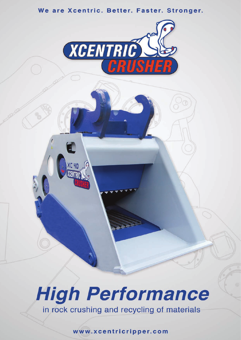



C

E

# **High Performance** in rock crushing and recycling of materials

www.xcentricripper.com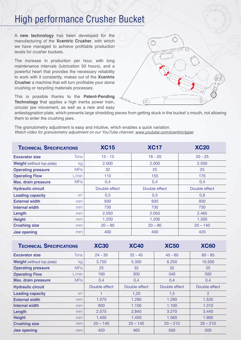### High performance Crusher Bucket

A **new technology** has been developed for the manufacturing of the **Xcentric Crusher**, with which we have managed to achieve profitable production levels for crusher buckets.

The increase in production per hour, with long maintenance intervals (lubrication 50 hours), and a powerful heart that provides the necessary reliability to work with it constantly, makes out of the **Xcentric Crusher** a machine that will turn profitable your stone crushing or recycling materials processes.

This is possible thanks to the **Patent-Pending Technology** that applies a high inertia power train, circular jaw movement, as well as a new and easy



antiestagnation plate, which prevents large shredding pieces from getting stuck in the bucket´s mouth, not allowing them to enter the crushing jaws.

The granulometry adjustment is easy and intuitive, which enables a quick variation. *Watch video for granulometry adjustment on our YouTube channel: www.youtube.com/xcentricripper*

| <b>TECHNICAL SPECIFICATIONS</b>   |                | <b>XC15</b><br><b>XC17</b> |               | <b>XC20</b>   |  |
|-----------------------------------|----------------|----------------------------|---------------|---------------|--|
| <b>Excavator size</b>             | <b>Tons</b>    | $13 - 15$                  | $16 - 20$     | $20 - 25$     |  |
| <b>Weight</b> (without top plate) | kg             | 2.000                      | 2.000         | 2.500         |  |
| <b>Operating pressure</b>         | <b>MPa</b>     | 32                         | 25            | 25            |  |
| <b>Operating Flow</b>             | $L/m$ in       | 110                        | 155           | 175           |  |
| <b>Max. drain pressure</b>        | <b>MPa</b>     | 0,4                        | 0,4           | 0,4           |  |
| <b>Hydraulic circuit</b>          |                | Double effect              | Double effect | Double effect |  |
| <b>Loading capacity</b>           | m <sup>3</sup> | 0,5                        | 0,5           | 0,8           |  |
| <b>External width</b>             | mm             | 930                        | 930           | 930           |  |
| <b>Internal width</b>             | mm             | 730                        | 730           | 730           |  |
| Length                            | mm             | 2.050                      | 2.050         | 2.465         |  |
| <b>Height</b>                     | mm             | 1.200                      | 1.200         | 1.300         |  |
| <b>Crushing size</b>              | mm             | $20 - 90$                  | $20 - 90$     | $20 - 140$    |  |
| <b>Jaw opening</b>                | mm             | 400                        | 400           | 420           |  |

| <b>TECHNICAL SPECIFICATIONS</b>   |                | <b>XC30</b>   | <b>XC40</b>   | <b>XC50</b>   | <b>XC60</b>   |
|-----------------------------------|----------------|---------------|---------------|---------------|---------------|
| <b>Excavator size</b>             | <b>Tons</b>    | $24 - 35$     | $32 - 45$     | $45 - 60$     | $60 - 85$     |
| <b>Weight</b> (without top plate) | kg             | 3.750         | 5.300         | 6.250         | 10.500        |
| <b>Operating pressure</b>         | <b>MPa</b>     | 25            | 32            | 32            | 25            |
| <b>Operating Flow</b>             | $L/m$ in       | 190           | 300           | 340           | 500           |
| <b>Max. drain pressure</b>        | <b>MPa</b>     | 0,4           | 0,4           | 0,4           | 0,4           |
| <b>Hydraulic circuit</b>          |                | Double effect | Double effect | Double effect | Double effect |
| <b>Loading capacity</b>           | m <sup>3</sup> |               | 1,20          | 1,5           | 2             |
| <b>External width</b>             | mm             | 1.070         | 1.280         | 1.280         | 1.535         |
| <b>Internal width</b>             | mm             | 900           | 1.100         | 1.100         | 1.310         |
| Length                            | mm             | 2.575         | 2.840         | 3.270         | 3.440         |
| <b>Height</b>                     | mm             | 1.400         | 1.450         | 1.560         | 1.900         |
| <b>Crushing size</b>              | mm             | $20 - 140$    | $20 - 140$    | $20 - 210$    | $20 - 210$    |
| <b>Jaw opening</b>                | mm             | 420           | 465           | 500           | 500           |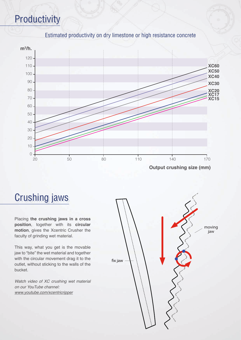### Productivity



#### Estimated productivity on dry limestone or high resistance concrete

**Output crushing size (mm)**

## Crushing jaws

Placing **the crushing jaws in a cross position**, together with its **circular motion**, gives the Xcentric Crusher the faculty of grinding wet material.

This way, what you get is the movable jaw to "bite" the wet material and together with the circular movement drag it to the outlet, without sticking to the walls of the bucket.

*Watch video of XC crushing wet material on our YouTube channel: www.youtube.com/xcentricripper*